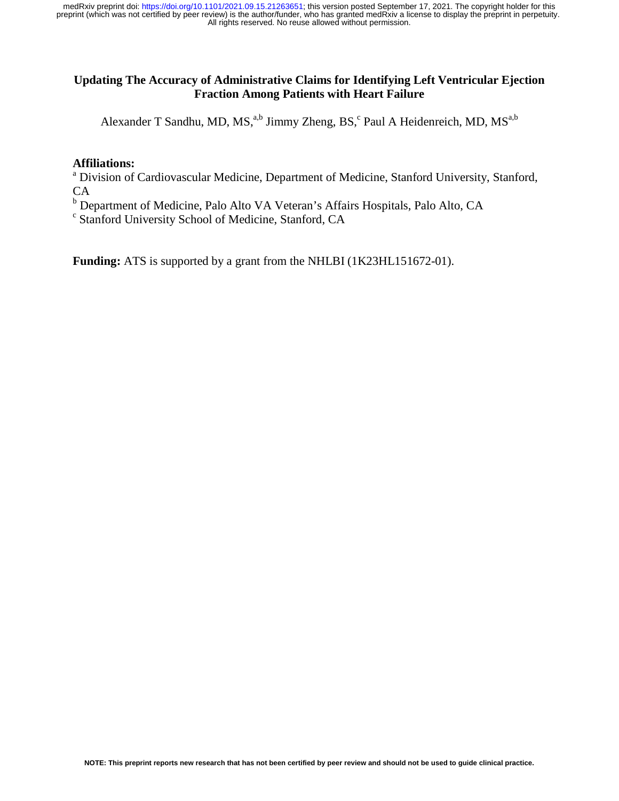#### **Updating The Accuracy of Administrative Claims for Identifying Left Ventricular Ejection Fraction Among Patients with Heart Failure**

Alexander T Sandhu, MD, MS,<sup>a,b</sup> Jimmy Zheng, BS,<sup>c</sup> Paul A Heidenreich, MD, MS<sup>a,b</sup>

#### **Affiliations:**

<sup>a</sup> Division of Cardiovascular Medicine, Department of Medicine, Stanford University, Stanford, CA

<sup>b</sup> Department of Medicine, Palo Alto VA Veteran's Affairs Hospitals, Palo Alto, CA

c Stanford University School of Medicine, Stanford, CA

**Funding:** ATS is supported by a grant from the NHLBI (1K23HL151672-01).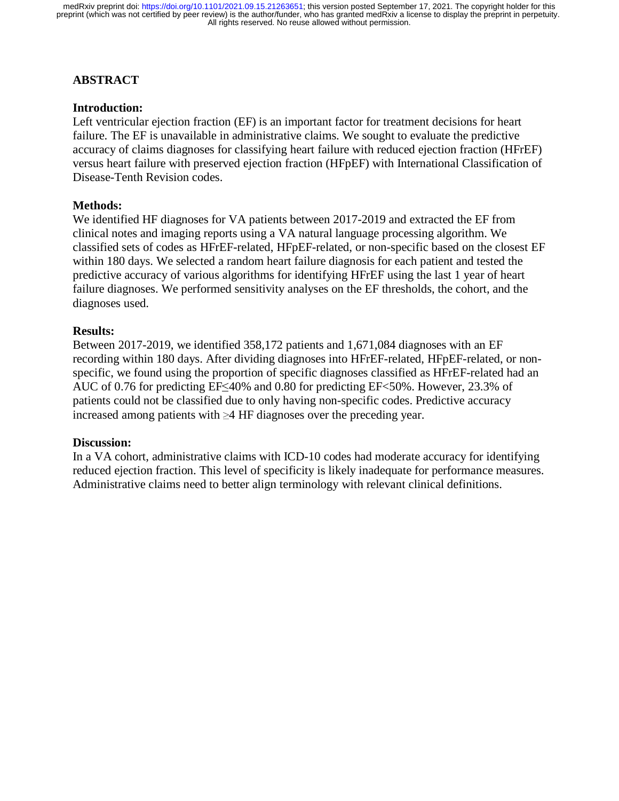## **ABSTRACT**

#### **Introduction:**

Left ventricular ejection fraction (EF) is an important factor for treatment decisions for heart failure. The EF is unavailable in administrative claims. We sought to evaluate the predictive accuracy of claims diagnoses for classifying heart failure with reduced ejection fraction (HFrEF) versus heart failure with preserved ejection fraction (HFpEF) with International Classification of Disease-Tenth Revision codes.

### **Methods:**

We identified HF diagnoses for VA patients between 2017-2019 and extracted the EF from clinical notes and imaging reports using a VA natural language processing algorithm. We classified sets of codes as HFrEF-related, HFpEF-related, or non-specific based on the closest EF within 180 days. We selected a random heart failure diagnosis for each patient and tested the predictive accuracy of various algorithms for identifying HFrEF using the last 1 year of heart failure diagnoses. We performed sensitivity analyses on the EF thresholds, the cohort, and the diagnoses used.

#### **Results:**

Between 2017-2019, we identified 358,172 patients and 1,671,084 diagnoses with an EF recording within 180 days. After dividing diagnoses into HFrEF-related, HFpEF-related, or nonspecific, we found using the proportion of specific diagnoses classified as HFrEF-related had an AUC of 0.76 for predicting EF≤40% and 0.80 for predicting EF<50%. However, 23.3% of patients could not be classified due to only having non-specific codes. Predictive accuracy increased among patients with ≥4 HF diagnoses over the preceding year.

#### **Discussion:**

In a VA cohort, administrative claims with ICD-10 codes had moderate accuracy for identifying reduced ejection fraction. This level of specificity is likely inadequate for performance measures. Administrative claims need to better align terminology with relevant clinical definitions.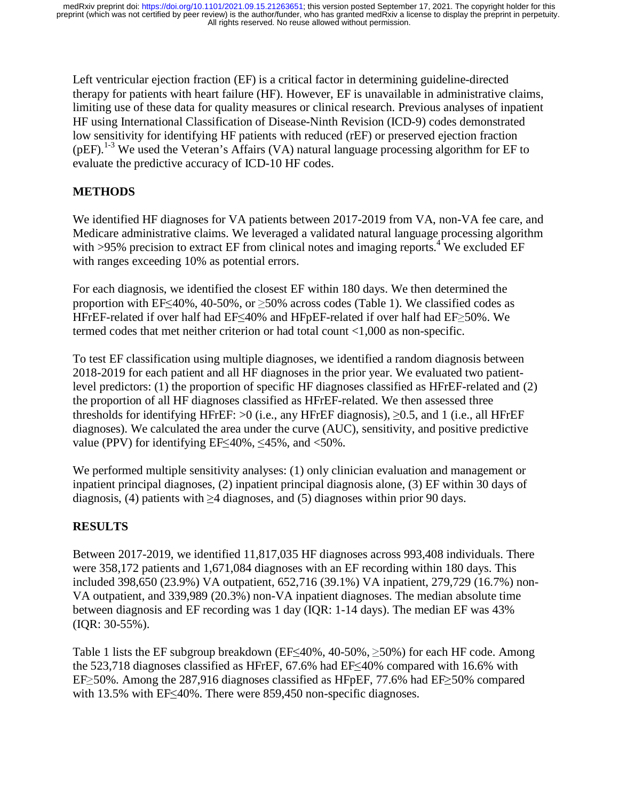Left ventricular ejection fraction (EF) is a critical factor in determining guideline-directed therapy for patients with heart failure (HF). However, EF is unavailable in administrative claims, limiting use of these data for quality measures or clinical research. Previous analyses of inpatient HF using International Classification of Disease-Ninth Revision (ICD-9) codes demonstrated low sensitivity for identifying HF patients with reduced (rEF) or preserved ejection fraction (pEF).<sup>1-3</sup> We used the Veteran's Affairs (VA) natural language processing algorithm for EF to evaluate the predictive accuracy of ICD-10 HF codes.

## **METHODS**

We identified HF diagnoses for VA patients between 2017-2019 from VA, non-VA fee care, and Medicare administrative claims. We leveraged a validated natural language processing algorithm with >95% precision to extract EF from clinical notes and imaging reports.<sup>4</sup> We excluded EF with ranges exceeding 10% as potential errors.

For each diagnosis, we identified the closest EF within 180 days. We then determined the proportion with EF $\leq$ 40%, 40-50%, or  $\geq$ 50% across codes (Table 1). We classified codes as HFrEF-related if over half had EF≤40% and HFpEF-related if over half had EF≥50%. We termed codes that met neither criterion or had total count <1,000 as non-specific.

To test EF classification using multiple diagnoses, we identified a random diagnosis between 2018-2019 for each patient and all HF diagnoses in the prior year. We evaluated two patientlevel predictors: (1) the proportion of specific HF diagnoses classified as HFrEF-related and (2) the proportion of all HF diagnoses classified as HFrEF-related. We then assessed three thresholds for identifying HFrEF:  $>0$  (i.e., any HFrEF diagnosis),  $\geq 0.5$ , and 1 (i.e., all HFrEF diagnoses). We calculated the area under the curve (AUC), sensitivity, and positive predictive value (PPV) for identifying EF $\leq$ 40%,  $\leq$ 45%, and  $\leq$ 50%.

We performed multiple sensitivity analyses: (1) only clinician evaluation and management or inpatient principal diagnoses, (2) inpatient principal diagnosis alone, (3) EF within 30 days of diagnosis, (4) patients with  $\geq$ 4 diagnoses, and (5) diagnoses within prior 90 days.

# **RESULTS**

Between 2017-2019, we identified 11,817,035 HF diagnoses across 993,408 individuals. There were 358,172 patients and 1,671,084 diagnoses with an EF recording within 180 days. This included 398,650 (23.9%) VA outpatient, 652,716 (39.1%) VA inpatient, 279,729 (16.7%) non-VA outpatient, and 339,989 (20.3%) non-VA inpatient diagnoses. The median absolute time between diagnosis and EF recording was 1 day (IQR: 1-14 days). The median EF was 43% (IQR: 30-55%).

Table 1 lists the EF subgroup breakdown (EF $\leq$ 40%, 40-50%,  $\geq$ 50%) for each HF code. Among the 523,718 diagnoses classified as HFrEF, 67.6% had EF≤40% compared with 16.6% with EF≥50%. Among the 287,916 diagnoses classified as HFpEF, 77.6% had EF≥50% compared with 13.5% with EF≤40%. There were 859,450 non-specific diagnoses.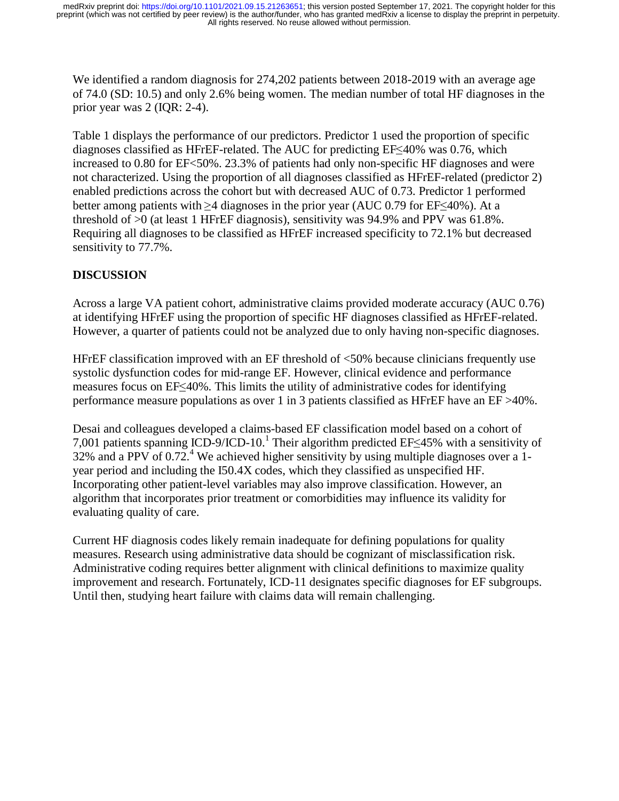We identified a random diagnosis for 274,202 patients between 2018-2019 with an average age of 74.0 (SD: 10.5) and only 2.6% being women. The median number of total HF diagnoses in the prior year was 2 (IQR: 2-4).

Table 1 displays the performance of our predictors. Predictor 1 used the proportion of specific diagnoses classified as HFrEF-related. The AUC for predicting EF≤40% was 0.76, which increased to 0.80 for EF<50%. 23.3% of patients had only non-specific HF diagnoses and were not characterized. Using the proportion of all diagnoses classified as HFrEF-related (predictor 2) enabled predictions across the cohort but with decreased AUC of 0.73. Predictor 1 performed better among patients with ≥4 diagnoses in the prior year (AUC 0.79 for EF≤40%). At a threshold of >0 (at least 1 HFrEF diagnosis), sensitivity was 94.9% and PPV was 61.8%. Requiring all diagnoses to be classified as HFrEF increased specificity to 72.1% but decreased sensitivity to 77.7%.

## **DISCUSSION**

Across a large VA patient cohort, administrative claims provided moderate accuracy (AUC 0.76) at identifying HFrEF using the proportion of specific HF diagnoses classified as HFrEF-related. However, a quarter of patients could not be analyzed due to only having non-specific diagnoses.

HFrEF classification improved with an EF threshold of <50% because clinicians frequently use systolic dysfunction codes for mid-range EF. However, clinical evidence and performance measures focus on EF≤40%. This limits the utility of administrative codes for identifying performance measure populations as over 1 in 3 patients classified as HFrEF have an EF >40%.

Desai and colleagues developed a claims-based EF classification model based on a cohort of 7,001 patients spanning ICD-9/ICD-10.<sup>1</sup> Their algorithm predicted EF≤45% with a sensitivity of 32% and a PPV of 0.72<sup>4</sup> We achieved bigher sensitivity by using multiple diagnoses over a 1-32% and a PPV of 0.72.<sup>4</sup> We achieved higher sensitivity by using multiple diagnoses over a 1year period and including the I50.4X codes, which they classified as unspecified HF. Incorporating other patient-level variables may also improve classification. However, an algorithm that incorporates prior treatment or comorbidities may influence its validity for evaluating quality of care.

Current HF diagnosis codes likely remain inadequate for defining populations for quality measures. Research using administrative data should be cognizant of misclassification risk. Administrative coding requires better alignment with clinical definitions to maximize quality improvement and research. Fortunately, ICD-11 designates specific diagnoses for EF subgroups. Until then, studying heart failure with claims data will remain challenging.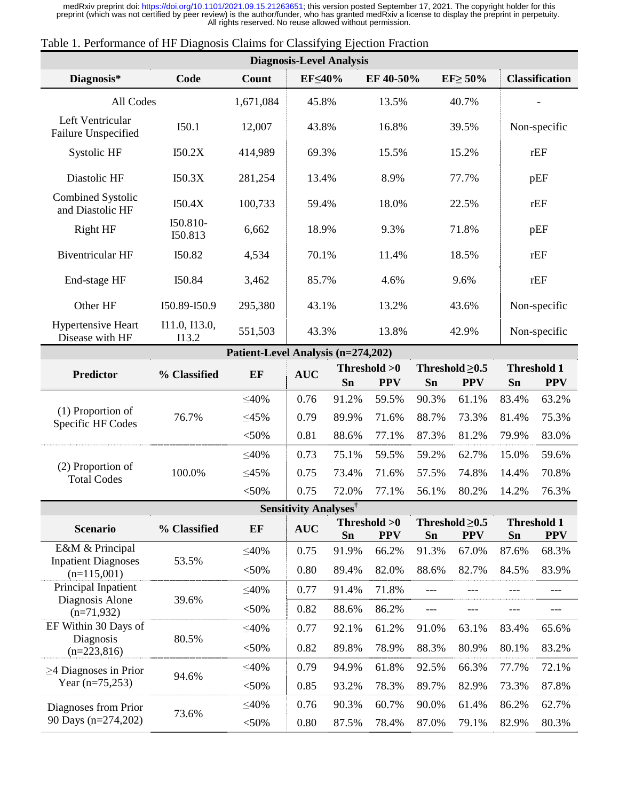| <b>Diagnosis-Level Analysis</b>                                |                        |             |            |       |                                                                        |       |                                        |              |                                  |  |
|----------------------------------------------------------------|------------------------|-------------|------------|-------|------------------------------------------------------------------------|-------|----------------------------------------|--------------|----------------------------------|--|
| Diagnosis*<br>Code                                             |                        | Count       | EF≤40%     |       | EF 40-50%                                                              |       | $EF \geq 50\%$                         |              | <b>Classification</b>            |  |
| All Codes                                                      |                        | 1,671,084   | 45.8%      |       | 13.5%                                                                  |       | 40.7%                                  |              |                                  |  |
| Left Ventricular<br>Failure Unspecified                        | I50.1                  | 12,007      | 43.8%      |       | 16.8%                                                                  |       | 39.5%                                  | Non-specific |                                  |  |
| Systolic HF                                                    | I50.2X                 | 414,989     | 69.3%      |       | 15.5%                                                                  |       | 15.2%                                  | rEF          |                                  |  |
| Diastolic HF                                                   | I50.3X                 | 281,254     | 13.4%      |       | 8.9%<br>77.7%                                                          |       | pEF                                    |              |                                  |  |
| Combined Systolic<br>and Diastolic HF                          | I50.4X                 | 100,733     | 59.4%      |       | 18.0%                                                                  | 22.5% |                                        | rEF          |                                  |  |
| <b>Right HF</b>                                                | I50.810-<br>I50.813    | 6,662       | 18.9%      |       | 9.3%                                                                   | 71.8% |                                        | pEF          |                                  |  |
| <b>Biventricular HF</b>                                        | I50.82                 | 4,534       | 70.1%      |       | 11.4%                                                                  |       | 18.5%                                  | rEF          |                                  |  |
| End-stage HF                                                   | I50.84                 | 3,462       | 85.7%      |       | 4.6%                                                                   | 9.6%  |                                        |              | rEF                              |  |
| Other HF                                                       | I50.89-I50.9           | 295,380     | 43.1%      |       | 13.2%                                                                  |       | 43.6%                                  | Non-specific |                                  |  |
| Hypertensive Heart<br>Disease with HF                          | I11.0, I13.0,<br>I13.2 | 551,503     | 43.3%      |       | 13.8%                                                                  |       | 42.9%                                  | Non-specific |                                  |  |
| Patient-Level Analysis (n=274,202)                             |                        |             |            |       |                                                                        |       |                                        |              |                                  |  |
| <b>Predictor</b>                                               | % Classified           | EF          | <b>AUC</b> | Sn    | Threshold >0<br><b>PPV</b>                                             | Sn    | Threshold $\geq 0.5$<br><b>PPV</b>     | Sn           | <b>Threshold 1</b><br><b>PPV</b> |  |
| (1) Proportion of<br>Specific HF Codes                         | 76.7%                  | $\leq 40\%$ | 0.76       | 91.2% | 59.5%                                                                  | 90.3% | 61.1%                                  | 83.4%        | 63.2%                            |  |
|                                                                |                        | $\leq45\%$  | 0.79       | 89.9% | 71.6%                                                                  | 88.7% | 73.3%                                  | 81.4%        | 75.3%                            |  |
|                                                                |                        | < 50%       | 0.81       | 88.6% | 77.1%                                                                  | 87.3% | 81.2%                                  | 79.9%        | 83.0%                            |  |
| (2) Proportion of<br><b>Total Codes</b>                        | 100.0%                 | $\leq 40\%$ | 0.73       | 75.1% | 59.5%                                                                  | 59.2% | 62.7%                                  | 15.0%        | 59.6%                            |  |
|                                                                |                        | $\leq45\%$  | 0.75       | 73.4% | 71.6%                                                                  | 57.5% | 74.8%                                  | 14.4%        | 70.8%                            |  |
|                                                                |                        | $<$ 50%     | 0.75       | 72.0% | 77.1%                                                                  | 56.1% | 80.2%                                  | 14.2%        | 76.3%                            |  |
| <b>Sensitivity Analyses</b> <sup>†</sup>                       |                        |             |            |       |                                                                        |       |                                        |              |                                  |  |
| <b>Scenario</b>                                                | % Classified           | EF          | <b>AUC</b> | Sn    | Threshold >0<br>Threshold $\geq 0.5$<br><b>PPV</b><br><b>PPV</b><br>Sn |       | <b>Threshold 1</b><br><b>PPV</b><br>Sn |              |                                  |  |
| E&M & Principal<br><b>Inpatient Diagnoses</b><br>$(n=115,001)$ | 53.5%                  | $\leq 40\%$ | 0.75       | 91.9% | 66.2%                                                                  | 91.3% | 67.0%                                  | 87.6%        | 68.3%                            |  |
|                                                                |                        | < 50%       | 0.80       | 89.4% | 82.0%                                                                  | 88.6% | 82.7%                                  | 84.5%        | 83.9%                            |  |
| Principal Inpatient<br>Diagnosis Alone<br>$(n=71,932)$         | 39.6%                  | $\leq 40\%$ | 0.77       | 91.4% | 71.8%                                                                  | $---$ |                                        |              | ---                              |  |
|                                                                |                        | < 50%       | 0.82       | 88.6% | 86.2%                                                                  | ---   |                                        |              | ---                              |  |
| EF Within 30 Days of<br>Diagnosis<br>$(n=223,816)$             | 80.5%                  | $\leq 40\%$ | 0.77       | 92.1% | 61.2%                                                                  | 91.0% | 63.1%                                  | 83.4%        | 65.6%                            |  |
|                                                                |                        | < 50%       | 0.82       | 89.8% | 78.9%                                                                  | 88.3% | 80.9%                                  | 80.1%        | 83.2%                            |  |
| $\geq$ 4 Diagnoses in Prior<br>Year $(n=75,253)$               | 94.6%                  | $\leq 40\%$ | 0.79       | 94.9% | 61.8%                                                                  | 92.5% | 66.3%                                  | 77.7%        | 72.1%                            |  |
|                                                                |                        | < 50%       | 0.85       | 93.2% | 78.3%                                                                  | 89.7% | 82.9%                                  | 73.3%        | 87.8%                            |  |
| Diagnoses from Prior<br>90 Days (n=274,202)                    | 73.6%                  | $\leq 40\%$ | 0.76       | 90.3% | 60.7%                                                                  | 90.0% | 61.4%                                  | 86.2%        | 62.7%                            |  |
|                                                                |                        | < 50%       | 0.80       | 87.5% | 78.4%                                                                  | 87.0% | 79.1%                                  | 82.9%        | 80.3%                            |  |

### Table 1. Performance of HF Diagnosis Claims for Classifying Ejection Fraction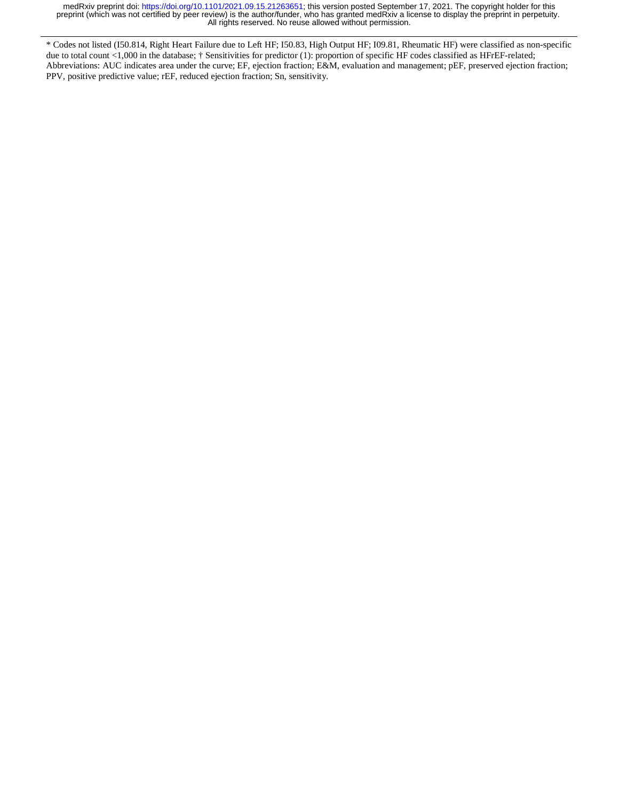\* Codes not listed (I50.814, Right Heart Failure due to Left HF; I50.83, High Output HF; I09.81, Rheumatic HF) were classified as non-specific due to total count <1,000 in the database; † Sensitivities for predictor (1): proportion of specific HF codes classified as HFrEF-related; Abbreviations: AUC indicates area under the curve; EF, ejection fraction; E&M, evaluation and management; pEF, preserved ejection fraction; PPV, positive predictive value; rEF, reduced ejection fraction; Sn, sensitivity.